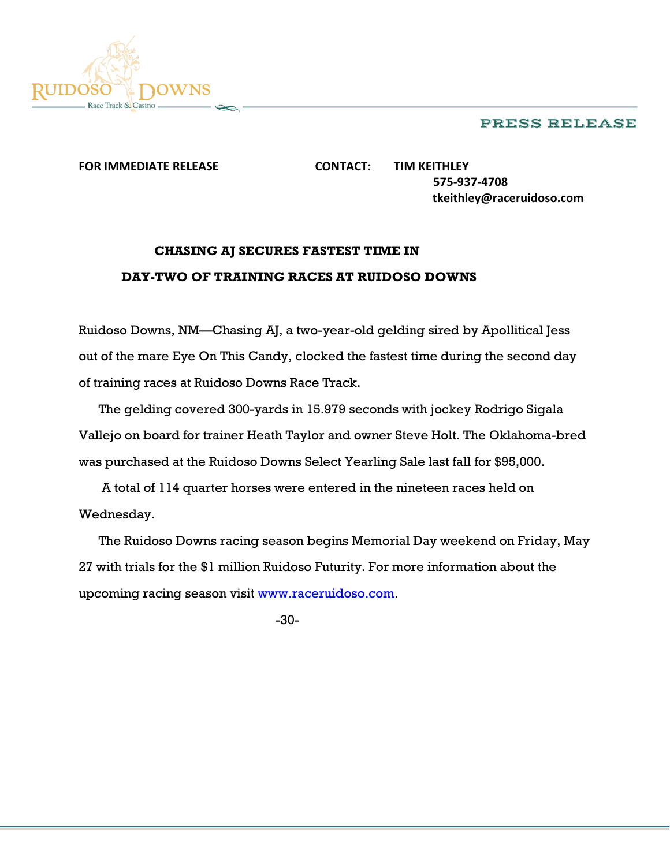## PRESS RELEASE



**FOR IMMEDIATE RELEASE CONTACT: TIM KEITHLEY 575-937-4708 tkeithley@raceruidoso.com**

## **CHASING AJ SECURES FASTEST TIME IN DAY-TWO OF TRAINING RACES AT RUIDOSO DOWNS**

Ruidoso Downs, NM—Chasing AJ, a two-year-old gelding sired by Apollitical Jess out of the mare Eye On This Candy, clocked the fastest time during the second day of training races at Ruidoso Downs Race Track.

 The gelding covered 300-yards in 15.979 seconds with jockey Rodrigo Sigala Vallejo on board for trainer Heath Taylor and owner Steve Holt. The Oklahoma-bred was purchased at the Ruidoso Downs Select Yearling Sale last fall for \$95,000.

 A total of 114 quarter horses were entered in the nineteen races held on Wednesday.

 The Ruidoso Downs racing season begins Memorial Day weekend on Friday, May 27 with trials for the \$1 million Ruidoso Futurity. For more information about the upcoming racing season visit [www.raceruidoso.com.](http://www.raceruidoso.com/)

-30-